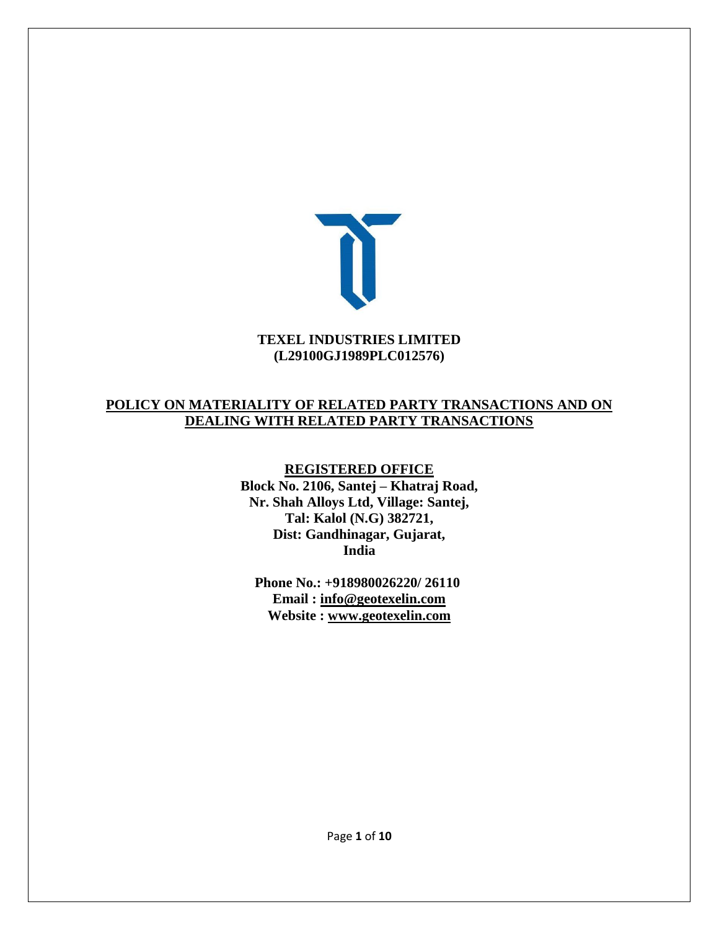

#### **TEXEL INDUSTRIES LIMITED (L29100GJ1989PLC012576)**

### **POLICY ON MATERIALITY OF RELATED PARTY TRANSACTIONS AND ON DEALING WITH RELATED PARTY TRANSACTIONS**

**REGISTERED OFFICE Block No. 2106, Santej – Khatraj Road, Nr. Shah Alloys Ltd, Village: Santej, Tal: Kalol (N.G) 382721, Dist: Gandhinagar, Gujarat, India**

**Phone No.: +918980026220/ 26110 Email : [info@geotexelin.com](mailto:info@geotexelin.com) Website : [www.geotexelin.com](http://www.geotexelin.com/)**

Page **1** of **10**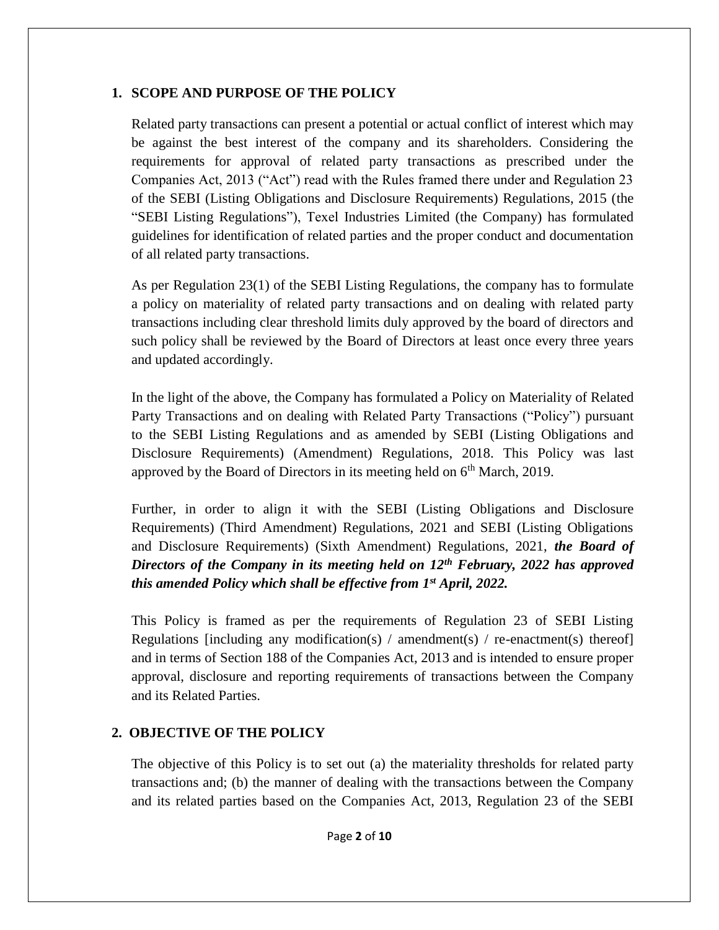### **1. SCOPE AND PURPOSE OF THE POLICY**

Related party transactions can present a potential or actual conflict of interest which may be against the best interest of the company and its shareholders. Considering the requirements for approval of related party transactions as prescribed under the Companies Act, 2013 ("Act") read with the Rules framed there under and Regulation 23 of the SEBI (Listing Obligations and Disclosure Requirements) Regulations, 2015 (the "SEBI Listing Regulations"), Texel Industries Limited (the Company) has formulated guidelines for identification of related parties and the proper conduct and documentation of all related party transactions.

As per Regulation 23(1) of the SEBI Listing Regulations, the company has to formulate a policy on materiality of related party transactions and on dealing with related party transactions including clear threshold limits duly approved by the board of directors and such policy shall be reviewed by the Board of Directors at least once every three years and updated accordingly.

In the light of the above, the Company has formulated a Policy on Materiality of Related Party Transactions and on dealing with Related Party Transactions ("Policy") pursuant to the SEBI Listing Regulations and as amended by SEBI (Listing Obligations and Disclosure Requirements) (Amendment) Regulations, 2018. This Policy was last approved by the Board of Directors in its meeting held on  $6<sup>th</sup>$  March, 2019.

Further, in order to align it with the SEBI (Listing Obligations and Disclosure Requirements) (Third Amendment) Regulations, 2021 and SEBI (Listing Obligations and Disclosure Requirements) (Sixth Amendment) Regulations, 2021, *the Board of Directors of the Company in its meeting held on 12th February, 2022 has approved this amended Policy which shall be effective from 1st April, 2022.*

This Policy is framed as per the requirements of Regulation 23 of SEBI Listing Regulations [including any modification(s) / amendment(s) / re-enactment(s) thereof] and in terms of Section 188 of the Companies Act, 2013 and is intended to ensure proper approval, disclosure and reporting requirements of transactions between the Company and its Related Parties.

# **2. OBJECTIVE OF THE POLICY**

The objective of this Policy is to set out (a) the materiality thresholds for related party transactions and; (b) the manner of dealing with the transactions between the Company and its related parties based on the Companies Act, 2013, Regulation 23 of the SEBI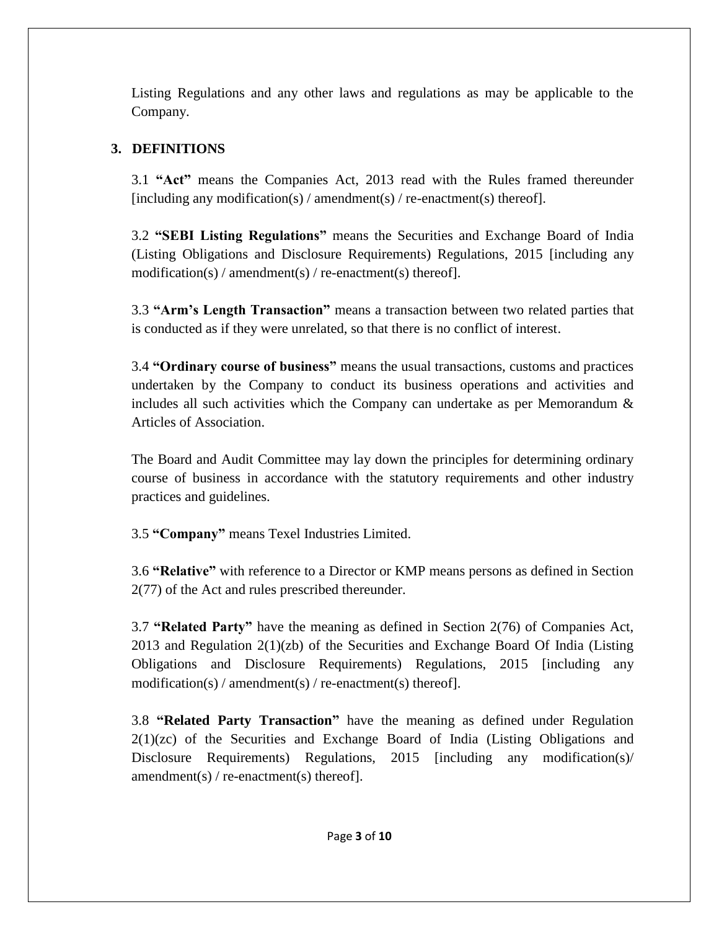Listing Regulations and any other laws and regulations as may be applicable to the Company.

## **3. DEFINITIONS**

3.1 **"Act"** means the Companies Act, 2013 read with the Rules framed thereunder [including any modification(s) / amendment(s) / re-enactment(s) thereof].

3.2 **"SEBI Listing Regulations"** means the Securities and Exchange Board of India (Listing Obligations and Disclosure Requirements) Regulations, 2015 [including any modification(s) / amendment(s) / re-enactment(s) thereof].

3.3 **"Arm's Length Transaction"** means a transaction between two related parties that is conducted as if they were unrelated, so that there is no conflict of interest.

3.4 **"Ordinary course of business"** means the usual transactions, customs and practices undertaken by the Company to conduct its business operations and activities and includes all such activities which the Company can undertake as per Memorandum  $\&$ Articles of Association.

The Board and Audit Committee may lay down the principles for determining ordinary course of business in accordance with the statutory requirements and other industry practices and guidelines.

3.5 **"Company"** means Texel Industries Limited.

3.6 **"Relative"** with reference to a Director or KMP means persons as defined in Section 2(77) of the Act and rules prescribed thereunder.

3.7 **"Related Party"** have the meaning as defined in Section 2(76) of Companies Act, 2013 and Regulation 2(1)(zb) of the Securities and Exchange Board Of India (Listing Obligations and Disclosure Requirements) Regulations, 2015 [including any modification(s) / amendment(s) / re-enactment(s) thereof].

3.8 **"Related Party Transaction"** have the meaning as defined under Regulation 2(1)(zc) of the Securities and Exchange Board of India (Listing Obligations and Disclosure Requirements) Regulations, 2015 [including any modification(s)/ amendment(s) / re-enactment(s) thereof].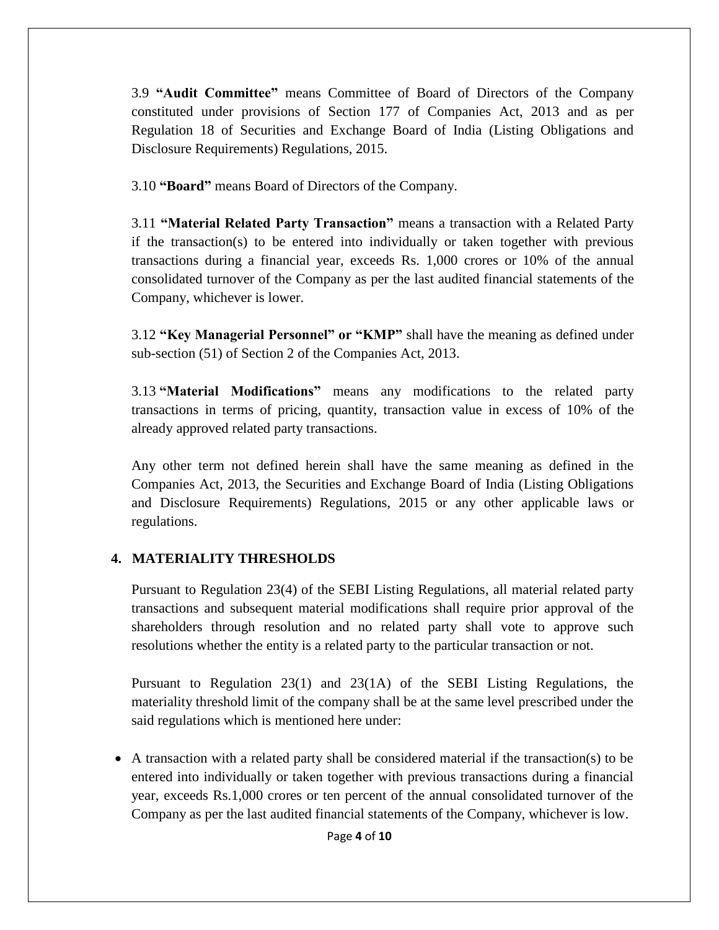3.9 **"Audit Committee"** means Committee of Board of Directors of the Company constituted under provisions of Section 177 of Companies Act, 2013 and as per Regulation 18 of Securities and Exchange Board of India (Listing Obligations and Disclosure Requirements) Regulations, 2015.

3.10 **"Board"** means Board of Directors of the Company.

3.11 **"Material Related Party Transaction"** means a transaction with a Related Party if the transaction(s) to be entered into individually or taken together with previous transactions during a financial year, exceeds Rs. 1,000 crores or 10% of the annual consolidated turnover of the Company as per the last audited financial statements of the Company, whichever is lower.

3.12 **"Key Managerial Personnel" or "KMP"** shall have the meaning as defined under sub-section (51) of Section 2 of the Companies Act, 2013.

3.13 **"Material Modifications"** means any modifications to the related party transactions in terms of pricing, quantity, transaction value in excess of 10% of the already approved related party transactions.

Any other term not defined herein shall have the same meaning as defined in the Companies Act, 2013, the Securities and Exchange Board of India (Listing Obligations and Disclosure Requirements) Regulations, 2015 or any other applicable laws or regulations.

# **4. MATERIALITY THRESHOLDS**

Pursuant to Regulation 23(4) of the SEBI Listing Regulations, all material related party transactions and subsequent material modifications shall require prior approval of the shareholders through resolution and no related party shall vote to approve such resolutions whether the entity is a related party to the particular transaction or not.

Pursuant to Regulation 23(1) and 23(1A) of the SEBI Listing Regulations, the materiality threshold limit of the company shall be at the same level prescribed under the said regulations which is mentioned here under:

 A transaction with a related party shall be considered material if the transaction(s) to be entered into individually or taken together with previous transactions during a financial year, exceeds Rs.1,000 crores or ten percent of the annual consolidated turnover of the Company as per the last audited financial statements of the Company, whichever is low.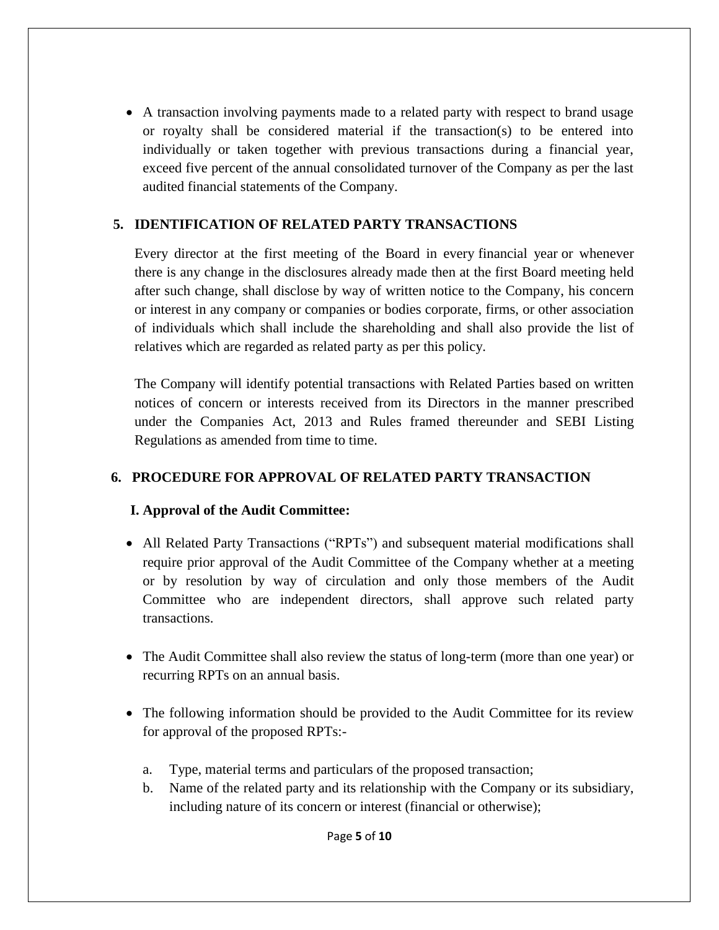A transaction involving payments made to a related party with respect to brand usage or royalty shall be considered material if the transaction(s) to be entered into individually or taken together with previous transactions during a financial year, exceed five percent of the annual consolidated turnover of the Company as per the last audited financial statements of the Company.

## **5. IDENTIFICATION OF RELATED PARTY TRANSACTIONS**

Every director at the first meeting of the Board in every [financial year](https://www.mca.gov.in/content/mca/global/en/acts-rules/ebooks/acts.html?act=NTk2MQ==) or whenever there is any change in the disclosures already made then at the first Board meeting held after such change, shall disclose by way of written notice to the Company, his concern or interest in any [company](https://www.mca.gov.in/content/mca/global/en/acts-rules/ebooks/acts.html?act=NTk2MQ==) or companies or bodies corporate, firms, or other association of individuals which shall include the shareholding and shall also provide the list of relatives which are regarded as related party as per this policy.

The Company will identify potential transactions with Related Parties based on written notices of concern or interests received from its Directors in the manner prescribed under the Companies Act, 2013 and Rules framed thereunder and SEBI Listing Regulations as amended from time to time.

# **6. PROCEDURE FOR APPROVAL OF RELATED PARTY TRANSACTION**

## **I. Approval of the Audit Committee:**

- All Related Party Transactions ("RPTs") and subsequent material modifications shall require prior approval of the Audit Committee of the Company whether at a meeting or by resolution by way of circulation and only those members of the Audit Committee who are independent directors, shall approve such related party transactions.
- The Audit Committee shall also review the status of long-term (more than one year) or recurring RPTs on an annual basis.
- The following information should be provided to the Audit Committee for its review for approval of the proposed RPTs:
	- a. Type, material terms and particulars of the proposed transaction;
	- b. Name of the related party and its relationship with the Company or its subsidiary, including nature of its concern or interest (financial or otherwise);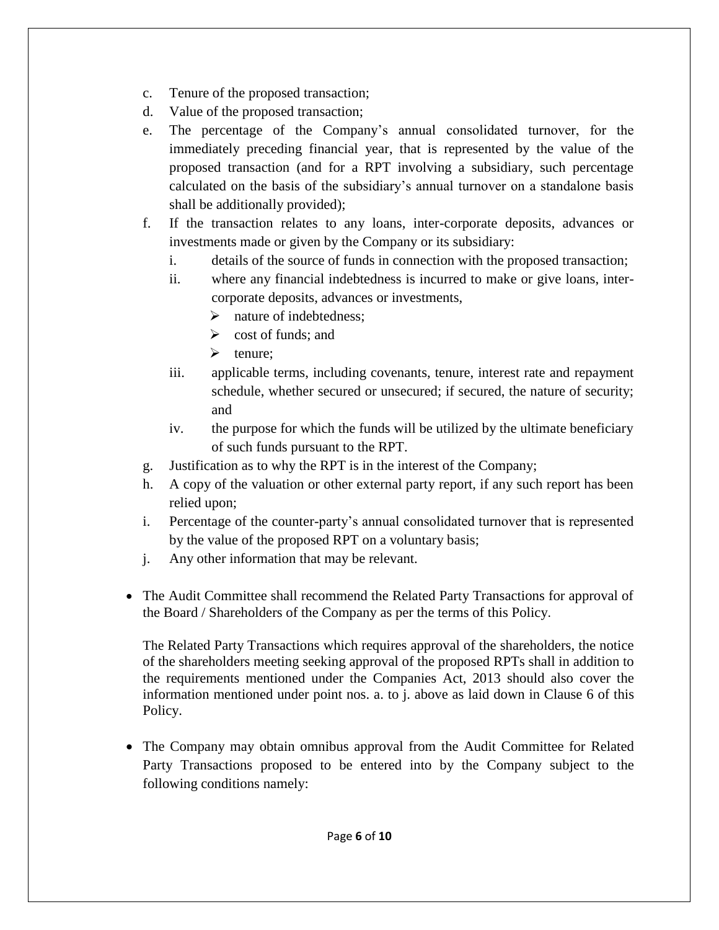- c. Tenure of the proposed transaction;
- d. Value of the proposed transaction;
- e. The percentage of the Company's annual consolidated turnover, for the immediately preceding financial year, that is represented by the value of the proposed transaction (and for a RPT involving a subsidiary, such percentage calculated on the basis of the subsidiary's annual turnover on a standalone basis shall be additionally provided);
- f. If the transaction relates to any loans, inter-corporate deposits, advances or investments made or given by the Company or its subsidiary:
	- i. details of the source of funds in connection with the proposed transaction;
	- ii. where any financial indebtedness is incurred to make or give loans, intercorporate deposits, advances or investments,
		- $\triangleright$  nature of indebtedness;
		- $\triangleright$  cost of funds; and
		- $\triangleright$  tenure:
	- iii. applicable terms, including covenants, tenure, interest rate and repayment schedule, whether secured or unsecured; if secured, the nature of security; and
	- iv. the purpose for which the funds will be utilized by the ultimate beneficiary of such funds pursuant to the RPT.
- g. Justification as to why the RPT is in the interest of the Company;
- h. A copy of the valuation or other external party report, if any such report has been relied upon;
- i. Percentage of the counter-party's annual consolidated turnover that is represented by the value of the proposed RPT on a voluntary basis;
- j. Any other information that may be relevant.
- The Audit Committee shall recommend the Related Party Transactions for approval of the Board / Shareholders of the Company as per the terms of this Policy.

The Related Party Transactions which requires approval of the shareholders, the notice of the shareholders meeting seeking approval of the proposed RPTs shall in addition to the requirements mentioned under the Companies Act, 2013 should also cover the information mentioned under point nos. a. to j. above as laid down in Clause 6 of this Policy.

• The Company may obtain omnibus approval from the Audit Committee for Related Party Transactions proposed to be entered into by the Company subject to the following conditions namely: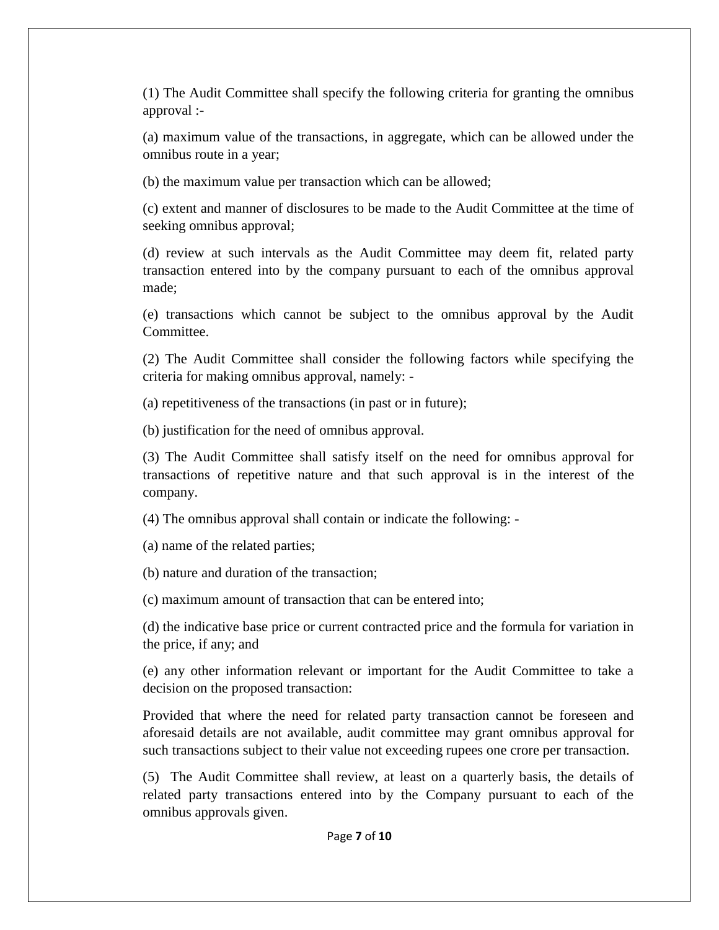(1) The Audit Committee shall specify the following criteria for granting the omnibus approval :-

(a) maximum value of the transactions, in aggregate, which can be allowed under the omnibus route in a year;

(b) the maximum value per transaction which can be allowed;

(c) extent and manner of disclosures to be made to the Audit Committee at the time of seeking omnibus approval;

(d) review at such intervals as the Audit Committee may deem fit, related party transaction entered into by the company pursuant to each of the omnibus approval made;

(e) transactions which cannot be subject to the omnibus approval by the Audit Committee.

(2) The Audit Committee shall consider the following factors while specifying the criteria for making omnibus approval, namely: -

(a) repetitiveness of the transactions (in past or in future);

(b) justification for the need of omnibus approval.

(3) The Audit Committee shall satisfy itself on the need for omnibus approval for transactions of repetitive nature and that such approval is in the interest of the company.

(4) The omnibus approval shall contain or indicate the following: -

(a) name of the related parties;

(b) nature and duration of the transaction;

(c) maximum amount of transaction that can be entered into;

(d) the indicative base price or current contracted price and the formula for variation in the price, if any; and

(e) any other information relevant or important for the Audit Committee to take a decision on the proposed transaction:

Provided that where the need for related party transaction cannot be foreseen and aforesaid details are not available, audit committee may grant omnibus approval for such transactions subject to their value not exceeding rupees one crore per transaction.

(5) The Audit Committee shall review, at least on a quarterly basis, the details of related party transactions entered into by the Company pursuant to each of the omnibus approvals given.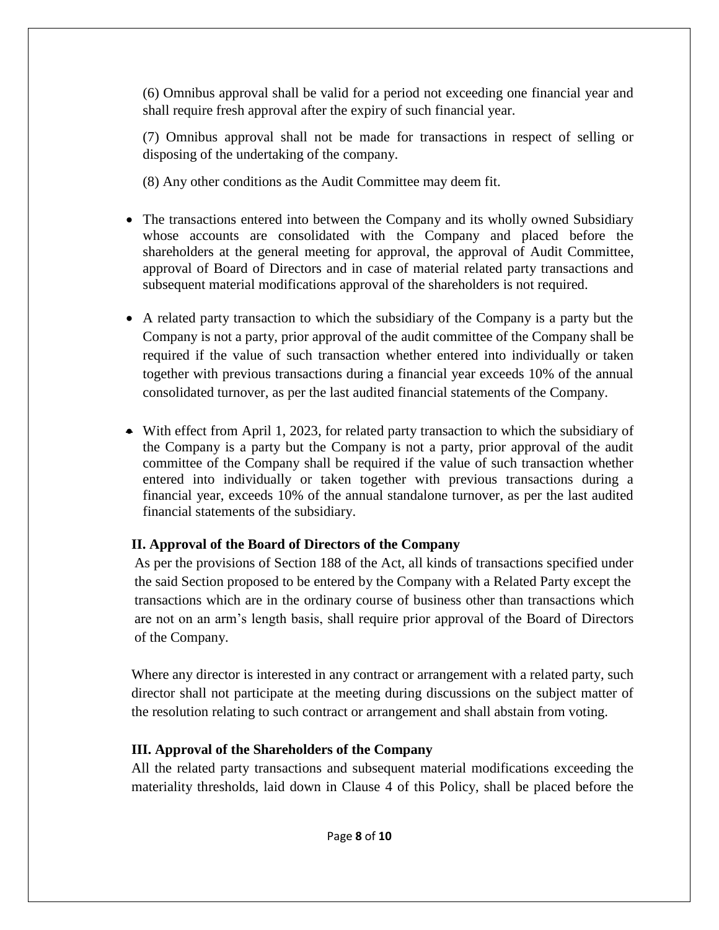(6) Omnibus approval shall be valid for a period not exceeding one financial year and shall require fresh approval after the expiry of such financial year.

(7) Omnibus approval shall not be made for transactions in respect of selling or disposing of the undertaking of the company.

(8) Any other conditions as the Audit Committee may deem fit.

- The transactions entered into between the Company and its wholly owned Subsidiary whose accounts are consolidated with the Company and placed before the shareholders at the general meeting for approval, the approval of Audit Committee, approval of Board of Directors and in case of material related party transactions and subsequent material modifications approval of the shareholders is not required.
- A related party transaction to which the subsidiary of the Company is a party but the Company is not a party, prior approval of the audit committee of the Company shall be required if the value of such transaction whether entered into individually or taken together with previous transactions during a financial year exceeds 10% of the annual consolidated turnover, as per the last audited financial statements of the Company.
- With effect from April 1, 2023, for related party transaction to which the subsidiary of the Company is a party but the Company is not a party, prior approval of the audit committee of the Company shall be required if the value of such transaction whether entered into individually or taken together with previous transactions during a financial year, exceeds 10% of the annual standalone turnover, as per the last audited financial statements of the subsidiary.

# **II. Approval of the Board of Directors of the Company**

As per the provisions of Section 188 of the Act, all kinds of transactions specified under the said Section proposed to be entered by the Company with a Related Party except the transactions which are in the ordinary course of business other than transactions which are not on an arm's length basis, shall require prior approval of the Board of Directors of the Company.

Where any director is interested in any contract or arrangement with a related party, such director shall not participate at the meeting during discussions on the subject matter of the resolution relating to such contract or arrangement and shall abstain from voting.

# **III. Approval of the Shareholders of the Company**

All the related party transactions and subsequent material modifications exceeding the materiality thresholds, laid down in Clause 4 of this Policy, shall be placed before the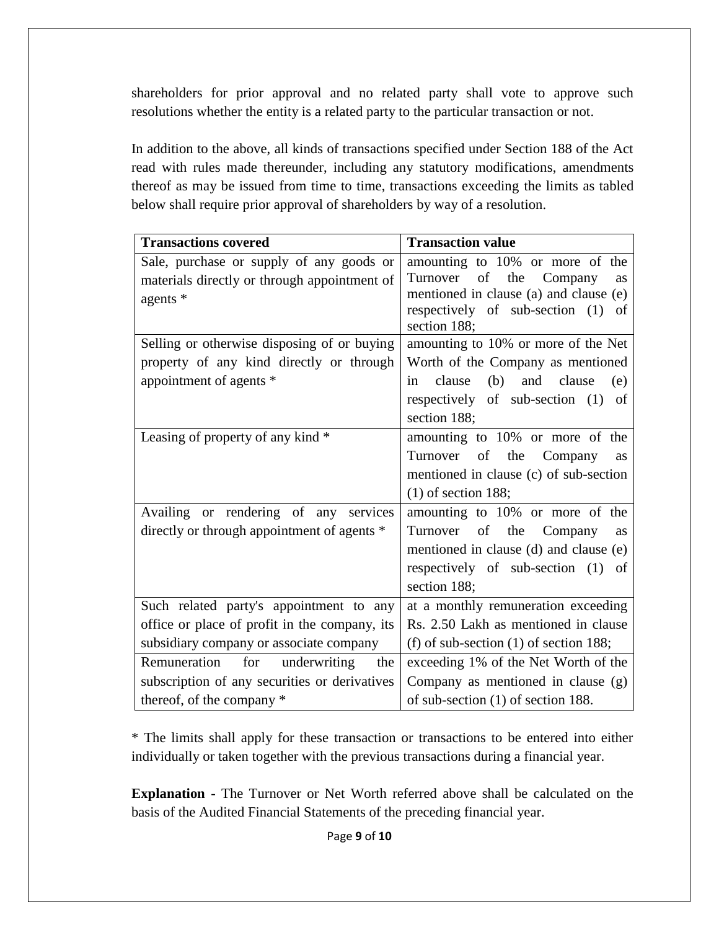shareholders for prior approval and no related party shall vote to approve such resolutions whether the entity is a related party to the particular transaction or not.

In addition to the above, all kinds of transactions specified under Section 188 of the Act read with rules made thereunder, including any statutory modifications, amendments thereof as may be issued from time to time, transactions exceeding the limits as tabled below shall require prior approval of shareholders by way of a resolution.

| <b>Transactions covered</b>                                                                                                                                                                     | <b>Transaction value</b>                                                                                                                                                                                                                                 |
|-------------------------------------------------------------------------------------------------------------------------------------------------------------------------------------------------|----------------------------------------------------------------------------------------------------------------------------------------------------------------------------------------------------------------------------------------------------------|
| Sale, purchase or supply of any goods or<br>materials directly or through appointment of<br>agents *<br>Selling or otherwise disposing of or buying<br>property of any kind directly or through | amounting to 10% or more of the<br>of<br>Turnover<br>the<br>Company<br>as<br>mentioned in clause (a) and clause (e)<br>respectively of sub-section (1)<br>of<br>section 188;<br>amounting to 10% or more of the Net<br>Worth of the Company as mentioned |
| appointment of agents *                                                                                                                                                                         | (b)<br>clause<br>and clause<br>(e)<br>in<br>respectively of sub-section (1)<br>of<br>section 188;                                                                                                                                                        |
| Leasing of property of any kind *                                                                                                                                                               | amounting to 10% or more of the<br>of the Company<br>Turnover<br>as<br>mentioned in clause (c) of sub-section<br>$(1)$ of section 188;                                                                                                                   |
| Availing or rendering of any services<br>directly or through appointment of agents *                                                                                                            | amounting to 10% or more of the<br>Turnover of the Company<br>as<br>mentioned in clause (d) and clause (e)<br>respectively of sub-section (1) of<br>section 188;                                                                                         |
| Such related party's appointment to any<br>office or place of profit in the company, its<br>subsidiary company or associate company                                                             | at a monthly remuneration exceeding<br>Rs. 2.50 Lakh as mentioned in clause<br>(f) of sub-section $(1)$ of section 188;                                                                                                                                  |
| Remuneration for<br>underwriting<br>the<br>subscription of any securities or derivatives<br>thereof, of the company *                                                                           | exceeding 1% of the Net Worth of the<br>Company as mentioned in clause (g)<br>of sub-section $(1)$ of section 188.                                                                                                                                       |

\* The limits shall apply for these transaction or transactions to be entered into either individually or taken together with the previous transactions during a financial year.

**Explanation** - The Turnover or Net Worth referred above shall be calculated on the basis of the Audited Financial Statements of the preceding financial year.